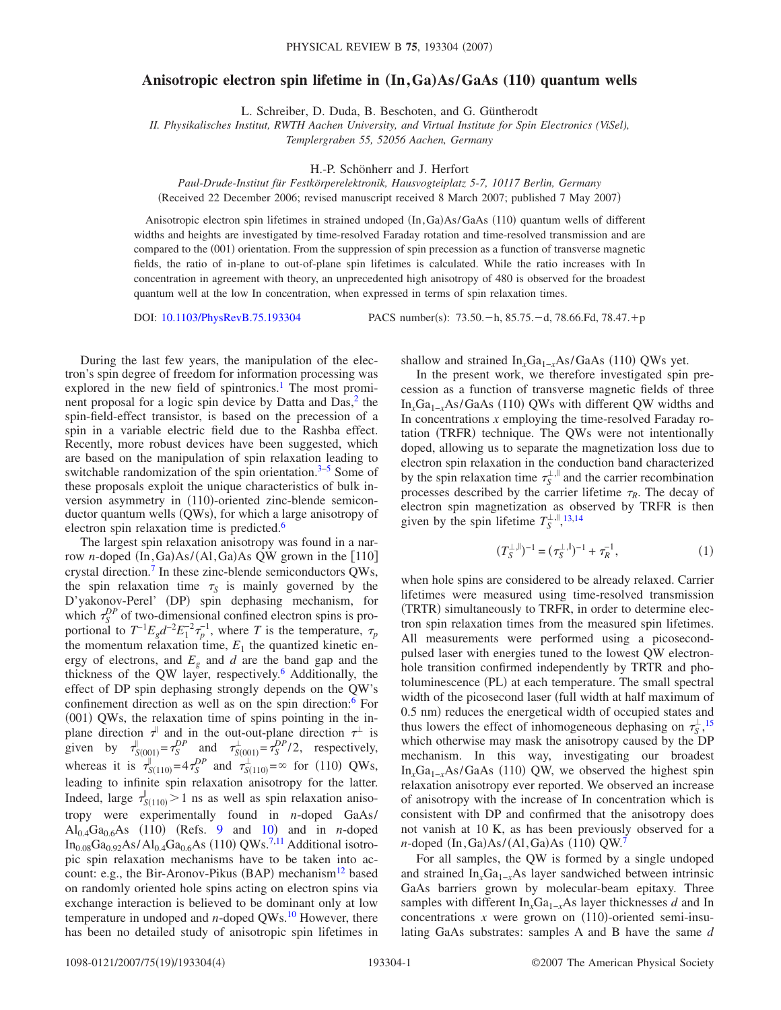## Anisotropic electron spin lifetime in  $(\text{In},\text{Ga})\text{As}/\text{GaAs}$  (110) quantum wells

L. Schreiber, D. Duda, B. Beschoten, and G. Güntherodt

*II. Physikalisches Institut, RWTH Aachen University, and Virtual Institute for Spin Electronics (ViSel),*

*Templergraben 55, 52056 Aachen, Germany*

H.-P. Schönherr and J. Herfort

*Paul-Drude-Institut für Festkörperelektronik, Hausvogteiplatz 5-7, 10117 Berlin, Germany*

(Received 22 December 2006; revised manuscript received 8 March 2007; published 7 May 2007)

Anisotropic electron spin lifetimes in strained undoped (In, Ga)As/GaAs (110) quantum wells of different widths and heights are investigated by time-resolved Faraday rotation and time-resolved transmission and are compared to the (001) orientation. From the suppression of spin precession as a function of transverse magnetic fields, the ratio of in-plane to out-of-plane spin lifetimes is calculated. While the ratio increases with In concentration in agreement with theory, an unprecedented high anisotropy of 480 is observed for the broadest quantum well at the low In concentration, when expressed in terms of spin relaxation times.

DOI: [10.1103/PhysRevB.75.193304](http://dx.doi.org/10.1103/PhysRevB.75.193304)

:  $73.50 - h$ ,  $85.75 - d$ ,  $78.66$ .Fd,  $78.47 + p$ 

During the last few years, the manipulation of the electron's spin degree of freedom for information processing was explored in the new field of spintronics.<sup>1</sup> The most prominent proposal for a logic spin device by Datta and  $Das<sup>2</sup>$ , the spin-field-effect transistor, is based on the precession of a spin in a variable electric field due to the Rashba effect. Recently, more robust devices have been suggested, which are based on the manipulation of spin relaxation leading to switchable randomization of the spin orientation. $3-5$  $3-5$  Some of these proposals exploit the unique characteristics of bulk inversion asymmetry in (110)-oriented zinc-blende semiconductor quantum wells (QWs), for which a large anisotropy of electron spin relaxation time is predicted.<sup>6</sup>

The largest spin relaxation anisotropy was found in a narrow *n*-doped (In, Ga)As/(Al, Ga)As QW grown in the [110] crystal direction.<sup>7</sup> In these zinc-blende semiconductors QWs, the spin relaxation time  $\tau_s$  is mainly governed by the D'yakonov-Perel' (DP) spin dephasing mechanism, for which  $\tau_S^{DP}$  of two-dimensional confined electron spins is proportional to  $T^{-1}E_g d^{-2}E_1^{-2} \tau_p^{-1}$ , where *T* is the temperature,  $\tau_p$ the momentum relaxation time,  $E_1$  the quantized kinetic energy of electrons, and  $E_g$  and  $d$  are the band gap and the thickness of the QW layer, respectively.<sup>6</sup> Additionally, the effect of DP spin dephasing strongly depends on the QW's confinement direction as well as on the spin direction:<sup>6</sup> For (001) QWs, the relaxation time of spins pointing in the inplane direction  $\tau^{\parallel}$  and in the out-out-plane direction  $\tau^{\perp}$  is given by  $\tau_{S(001)}^{\parallel} = \tau_S^{DP}$  and  $\tau_{S(001)}^{\perp} = \tau_S^{DP}/2$ , respectively, whereas it is  $\tau_{S(110)}^{\parallel} = 4 \tau_S^{DP}$  and  $\tau_{S(110)}^{\perp} = \infty$  for (110) QWs, leading to infinite spin relaxation anisotropy for the latter. Indeed, large  $\tau_{S(110)}^{\parallel} > 1$  ns as well as spin relaxation anisotropy were experimentally found in *n*-doped GaAs/  $Al_{0.4}Ga_{0.6}As$  (110) (Refs. [9](#page-3-6) and [10](#page-3-7)) and in *n*-doped  $In<sub>0.08</sub>Ga<sub>0.92</sub>As/Al<sub>0.4</sub>Ga<sub>0.6</sub>As (110) QWs.<sup>7,11</sup> Additional isotro In<sub>0.08</sub>Ga<sub>0.92</sub>As/Al<sub>0.4</sub>Ga<sub>0.6</sub>As (110) QWs.<sup>7,11</sup> Additional isotro In<sub>0.08</sub>Ga<sub>0.92</sub>As/Al<sub>0.4</sub>Ga<sub>0.6</sub>As (110) QWs.<sup>7,11</sup> Additional isotro$ pic spin relaxation mechanisms have to be taken into account: e.g., the Bir-Aronov-Pikus (BAP) mechanism<sup>12</sup> based on randomly oriented hole spins acting on electron spins via exchange interaction is believed to be dominant only at low temperature in undoped and *n*-doped QWs.<sup>10</sup> However, there has been no detailed study of anisotropic spin lifetimes in shallow and strained  $In_xGa_{1-x}As/GaAs$  (110) QWs yet.

In the present work, we therefore investigated spin precession as a function of transverse magnetic fields of three In<sub>*x*</sub>Ga<sub>1−*x*</sub>As/GaAs (110) QWs with different QW widths and In concentrations *x* employing the time-resolved Faraday rotation (TRFR) technique. The QWs were not intentionally doped, allowing us to separate the magnetization loss due to electron spin relaxation in the conduction band characterized by the spin relaxation time  $\tau_S^{\perp,\parallel}$  and the carrier recombination processes described by the carrier lifetime  $\tau_R$ . The decay of electron spin magnetization as observed by TRFR is then given by the spin lifetime  $T_S^{\perp,\parallel}$ ,<sup>[13](#page-3-10)[,14](#page-3-11)</sup>

$$
(T_S^{\perp,\parallel})^{-1} = (\tau_S^{\perp,\parallel})^{-1} + \tau_R^{-1},\tag{1}
$$

<span id="page-0-0"></span>when hole spins are considered to be already relaxed. Carrier lifetimes were measured using time-resolved transmission (TRTR) simultaneously to TRFR, in order to determine electron spin relaxation times from the measured spin lifetimes. All measurements were performed using a picosecondpulsed laser with energies tuned to the lowest QW electronhole transition confirmed independently by TRTR and photoluminescence (PL) at each temperature. The small spectral width of the picosecond laser (full width at half maximum of 0.5 nm) reduces the energetical width of occupied states and thus lowers the effect of inhomogeneous dephasing on  $\tau_s^{\perp}$ ,<sup>[15](#page-3-12)</sup>, which otherwise may mask the anisotropy caused by the DP mechanism. In this way, investigating our broadest In<sub>*x*</sub>Ga<sub>1−*x*</sub>As/GaAs (110) QW, we observed the highest spin relaxation anisotropy ever reported. We observed an increase of anisotropy with the increase of In concentration which is consistent with DP and confirmed that the anisotropy does not vanish at 10 K, as has been previously observed for a  $n$ -doped (In, Ga)As/(Al, Ga)As (110) QW.<sup>7</sup>

For all samples, the QW is formed by a single undoped and strained  $In_xGa_{1-x}As$  layer sandwiched between intrinsic GaAs barriers grown by molecular-beam epitaxy. Three samples with different In<sub>*x*</sub>Ga<sub>1−*x*</sub>As layer thicknesses *d* and In concentrations  $x$  were grown on  $(110)$ -oriented semi-insulating GaAs substrates: samples A and B have the same *d*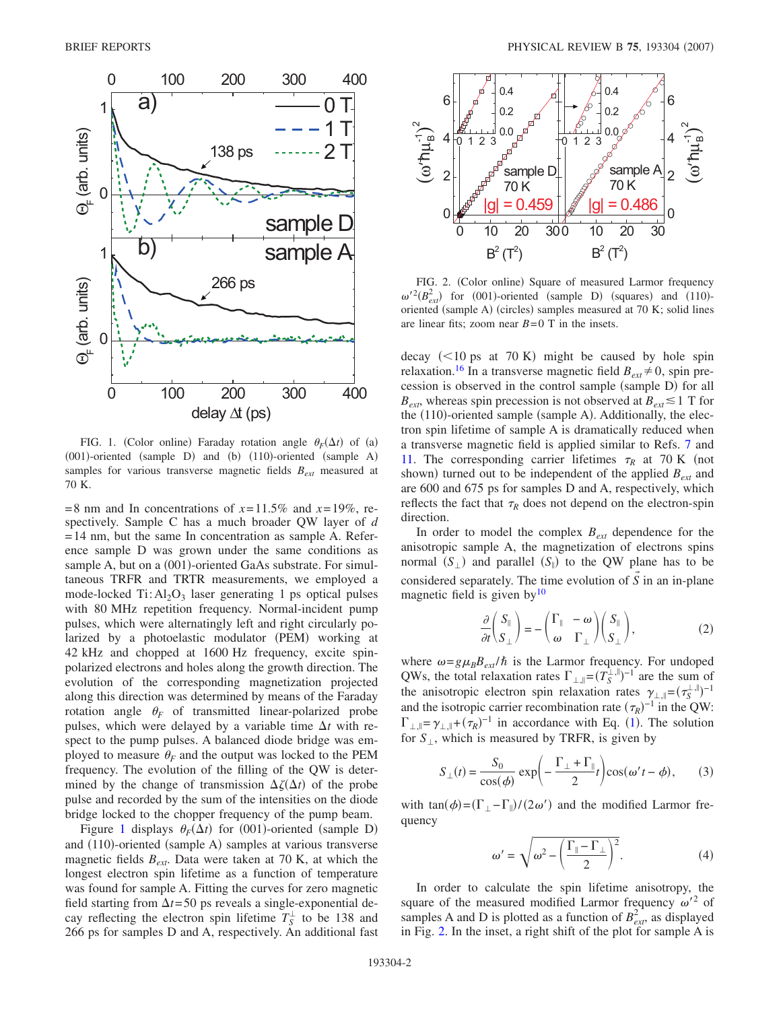<span id="page-1-0"></span>

FIG. 1. (Color online) Faraday rotation angle  $\theta_F(\Delta t)$  of (a) (001)-oriented (sample D) and (b) (110)-oriented (sample A) samples for various transverse magnetic fields  $B_{ext}$  measured at 70 K.

 $=8$  nm and In concentrations of  $x=11.5\%$  and  $x=19\%$ , respectively. Sample C has a much broader QW layer of *d* =14 nm, but the same In concentration as sample A. Reference sample D was grown under the same conditions as sample A, but on a (001)-oriented GaAs substrate. For simultaneous TRFR and TRTR measurements, we employed a mode-locked  $Ti: Al<sub>2</sub>O<sub>3</sub>$  laser generating 1 ps optical pulses with 80 MHz repetition frequency. Normal-incident pump pulses, which were alternatingly left and right circularly polarized by a photoelastic modulator (PEM) working at 42 kHz and chopped at 1600 Hz frequency, excite spinpolarized electrons and holes along the growth direction. The evolution of the corresponding magnetization projected along this direction was determined by means of the Faraday rotation angle  $\theta_F$  of transmitted linear-polarized probe pulses, which were delayed by a variable time  $\Delta t$  with respect to the pump pulses. A balanced diode bridge was employed to measure  $\theta_F$  and the output was locked to the PEM frequency. The evolution of the filling of the QW is determined by the change of transmission  $\Delta \zeta(\Delta t)$  of the probe pulse and recorded by the sum of the intensities on the diode bridge locked to the chopper frequency of the pump beam.

Figure [1](#page-1-0) displays  $\theta_F(\Delta t)$  for (001)-oriented (sample D) and (110)-oriented (sample A) samples at various transverse magnetic fields *Bext*. Data were taken at 70 K, at which the longest electron spin lifetime as a function of temperature was found for sample A. Fitting the curves for zero magnetic field starting from  $\Delta t$ =50 ps reveals a single-exponential decay reflecting the electron spin lifetime  $T_S^{\perp}$  to be 138 and 266 ps for samples D and A, respectively. An additional fast

<span id="page-1-1"></span>

FIG. 2. (Color online) Square of measured Larmor frequency  $\omega'^2(B_{ext}^2)$  for (001)-oriented (sample D) (squares) and (110)oriented (sample A) (circles) samples measured at 70 K; solid lines are linear fits; zoom near  $B=0$  T in the insets.

decay  $(<10 \text{ ps at } 70 \text{ K})$  might be caused by hole spin relaxation.<sup>16</sup> In a transverse magnetic field  $B_{ext} \neq 0$ , spin precession is observed in the control sample (sample D) for all  $B_{ext}$ , whereas spin precession is not observed at  $B_{ext} \leq 1$  T for the (110)-oriented sample (sample A). Additionally, the electron spin lifetime of sample A is dramatically reduced when a transverse magnetic field is applied similar to Refs. [7](#page-3-5) and [11.](#page-3-8) The corresponding carrier lifetimes  $\tau_R$  at 70 K (not shown) turned out to be independent of the applied  $B_{ext}$  and are 600 and 675 ps for samples D and A, respectively, which reflects the fact that  $\tau_R$  does not depend on the electron-spin direction.

In order to model the complex *Bext* dependence for the anisotropic sample A, the magnetization of electrons spins normal  $(S_{\perp})$  and parallel  $(S_{\parallel})$  to the QW plane has to be considered separately. The time evolution of *S* in an in-plane → magnetic field is given by $10$ 

$$
\frac{\partial}{\partial t} \begin{pmatrix} S_{\parallel} \\ S_{\perp} \end{pmatrix} = - \begin{pmatrix} \Gamma_{\parallel} & -\omega \\ \omega & \Gamma_{\perp} \end{pmatrix} \begin{pmatrix} S_{\parallel} \\ S_{\perp} \end{pmatrix},
$$
(2)

where  $\omega = g \mu_B B_{ext}/\hbar$  is the Larmor frequency. For undoped QWs, the total relaxation rates  $\Gamma_{\perp,\parallel} = (T_S^{\perp,\parallel})^{-1}$  are the sum of the anisotropic electron spin relaxation rates  $\gamma_{\perp,\parallel} = (\tau_S^{\perp,\parallel})^{-1}$ and the isotropic carrier recombination rate  $(\tau_R)^{-1}$  in the QW:  $\Gamma_{\perp,\parallel} = \gamma_{\perp,\parallel} + (\tau_R)^{-1}$  $\Gamma_{\perp,\parallel} = \gamma_{\perp,\parallel} + (\tau_R)^{-1}$  $\Gamma_{\perp,\parallel} = \gamma_{\perp,\parallel} + (\tau_R)^{-1}$  in accordance with Eq. (1). The solution for  $S_{\perp}$ , which is measured by TRFR, is given by

<span id="page-1-3"></span>
$$
S_{\perp}(t) = \frac{S_0}{\cos(\phi)} \exp\left(-\frac{\Gamma_{\perp} + \Gamma_{\parallel}}{2}t\right) \cos(\omega' t - \phi),\qquad(3)
$$

<span id="page-1-2"></span>with  $tan(\phi) = (\Gamma_{\perp} - \Gamma_{\parallel})/(2\omega')$  and the modified Larmor frequency

$$
\omega' = \sqrt{\omega^2 - \left(\frac{\Gamma_{\parallel} - \Gamma_{\perp}}{2}\right)^2}.
$$
 (4)

In order to calculate the spin lifetime anisotropy, the square of the measured modified Larmor frequency  $\omega^2$  of samples A and D is plotted as a function of  $B_{ext}^2$ , as displayed in Fig. [2.](#page-1-1) In the inset, a right shift of the plot for sample A is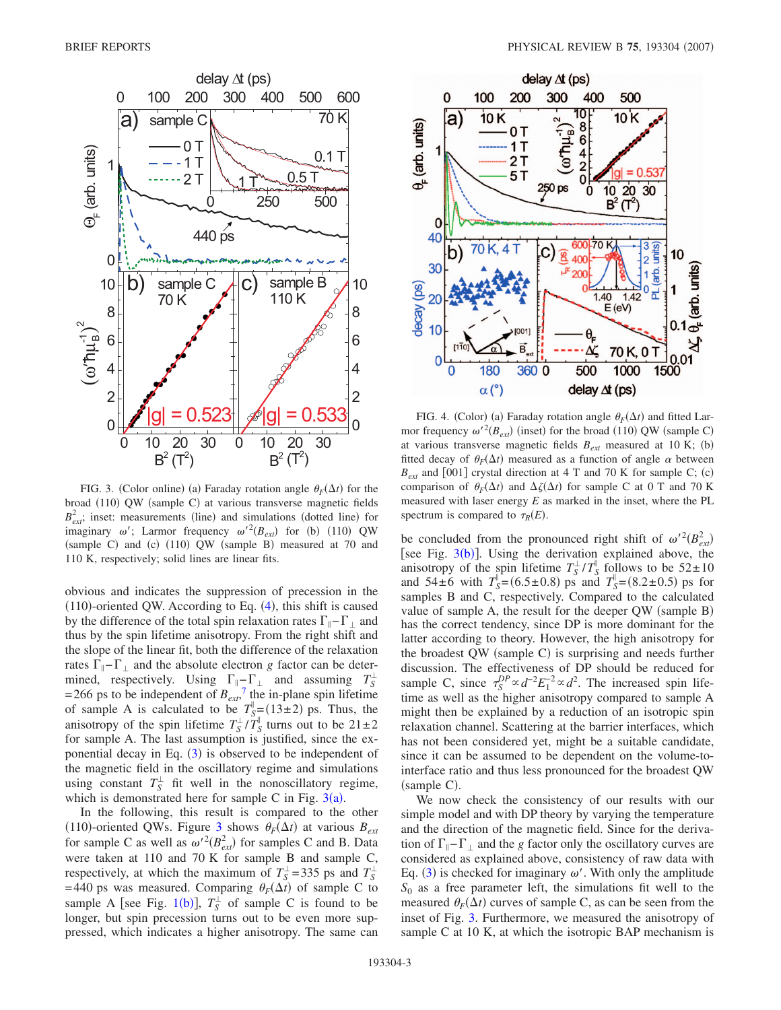<span id="page-2-0"></span>

FIG. 3. (Color online) (a) Faraday rotation angle  $\theta_F(\Delta t)$  for the broad (110) QW (sample C) at various transverse magnetic fields  $B_{ext}^2$ ; inset: measurements (line) and simulations (dotted line) for imaginary  $\omega'$ ; Larmor frequency  $\omega'^2(B_{ext})$  for (b) (110) QW (sample C) and (c) (110) QW (sample B) measured at 70 and 110 K, respectively; solid lines are linear fits.

obvious and indicates the suppression of precession in the (110)-oriented QW. According to Eq. ([4](#page-1-2)), this shift is caused by the difference of the total spin relaxation rates  $\Gamma_{\parallel}$  –  $\Gamma_{\perp}$  and thus by the spin lifetime anisotropy. From the right shift and the slope of the linear fit, both the difference of the relaxation rates  $\Gamma_{\parallel}$  –  $\Gamma_{\perp}$  and the absolute electron *g* factor can be determined, respectively. Using  $\Gamma_{\parallel} - \Gamma_{\perp}$  and assuming  $T_S^{\perp}$  $=$  266 ps to be independent of  $B_{ext}$ <sup>[7](#page-3-5)</sup> the in-plane spin lifetime of sample A is calculated to be  $T_S^{\parallel} = (13 \pm 2)$  ps. Thus, the anisotropy of the spin lifetime  $T_S^{\perp}/T_S^{\parallel}$  turns out to be  $21 \pm 2$ for sample A. The last assumption is justified, since the ex-ponential decay in Eq. ([3](#page-1-3)) is observed to be independent of the magnetic field in the oscillatory regime and simulations using constant  $T_S^{\perp}$  fit well in the nonoscillatory regime, which is demonstrated here for sample C in Fig.  $3(a)$  $3(a)$ .

In the following, this result is compared to the other (110)-oriented QWs. Figure [3](#page-2-0) shows  $\theta_F(\Delta t)$  at various  $B_{ext}$ for sample C as well as  $\omega'^2(B_{ext}^2)$  for samples C and B. Data were taken at 110 and 70 K for sample B and sample C, respectively, at which the maximum of  $T_S^{\perp} = 335$  ps and  $T_S^{\perp}$  $=440$  ps was measured. Comparing  $\theta_F(\Delta t)$  of sample C to sample A [see Fig. [1](#page-1-0)(b)],  $T_S^{\perp}$  of sample C is found to be longer, but spin precession turns out to be even more suppressed, which indicates a higher anisotropy. The same can

<span id="page-2-1"></span>

FIG. 4. (Color) (a) Faraday rotation angle  $\theta_F(\Delta t)$  and fitted Larmor frequency  $\omega^2(B_{ext})$  (inset) for the broad (110) QW (sample C) at various transverse magnetic fields  $B_{ext}$  measured at 10 K; (b) fitted decay of  $\theta_F(\Delta t)$  measured as a function of angle  $\alpha$  between  $B_{ext}$  and [001] crystal direction at 4 T and 70 K for sample C; (c) comparison of  $\theta_F(\Delta t)$  and  $\Delta \zeta(\Delta t)$  for sample C at 0 T and 70 K measured with laser energy *E* as marked in the inset, where the PL spectrum is compared to  $\tau_R(E)$ .

be concluded from the pronounced right shift of  $\omega'^2(B_{ext}^2)$ [see Fig.  $3(b)$  $3(b)$ ]. Using the derivation explained above, the anisotropy of the spin lifetime  $T_S^{\perp}/T_S^{\parallel}$  follows to be  $52 \pm 10$ and 54 $\pm$ 6 with  $T_S^{\parallel} = (6.5 \pm 0.8)$  ps and  $T_S^{\parallel} = (8.2 \pm 0.5)$  ps for samples B and C, respectively. Compared to the calculated value of sample A, the result for the deeper QW (sample B) has the correct tendency, since DP is more dominant for the latter according to theory. However, the high anisotropy for the broadest QW (sample C) is surprising and needs further discussion. The effectiveness of DP should be reduced for sample C, since  $\tau_S^{DP} \propto d^{-2} E_1^{-2} \propto d^2$ . The increased spin lifetime as well as the higher anisotropy compared to sample A might then be explained by a reduction of an isotropic spin relaxation channel. Scattering at the barrier interfaces, which has not been considered yet, might be a suitable candidate, since it can be assumed to be dependent on the volume-tointerface ratio and thus less pronounced for the broadest QW (sample C).

We now check the consistency of our results with our simple model and with DP theory by varying the temperature and the direction of the magnetic field. Since for the derivation of  $\Gamma_{\parallel}$ - $\Gamma_{\perp}$  and the *g* factor only the oscillatory curves are considered as explained above, consistency of raw data with Eq. ([3](#page-1-3)) is checked for imaginary  $\omega'$ . With only the amplitude  $S_0$  as a free parameter left, the simulations fit well to the measured  $\theta_F(\Delta t)$  curves of sample C, as can be seen from the inset of Fig. [3.](#page-2-0) Furthermore, we measured the anisotropy of sample C at 10 K, at which the isotropic BAP mechanism is